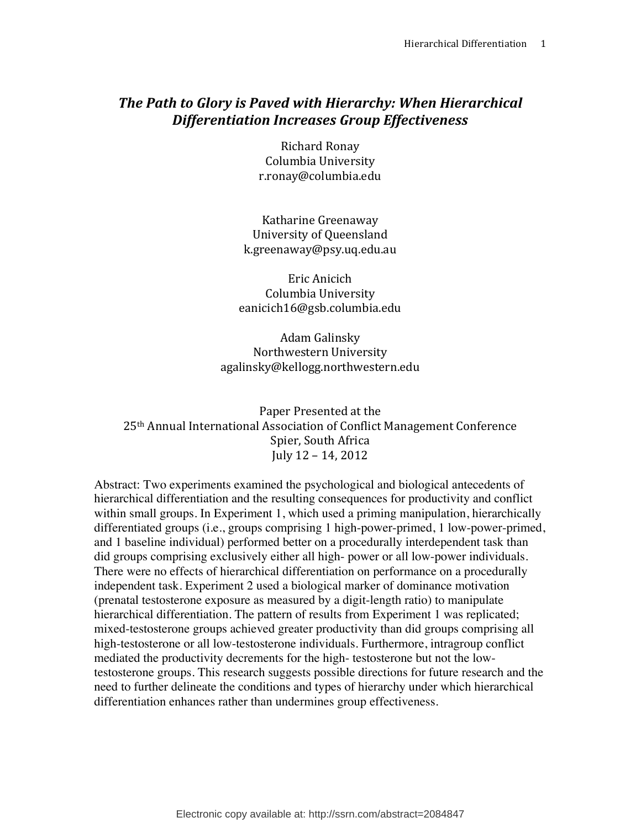# **The Path to Glory is Paved with Hierarchy: When Hierarchical** *Differentiation Increases Group Effectiveness*

Richard Ronay Columbia University r.ronay@columbia.edu

Katharine Greenaway University of Queensland k.greenaway@psy.uq.edu.au

Eric Anicich Columbia University eanicich16@gsb.columbia.edu

Adam Galinsky Northwestern University agalinsky@kellogg.northwestern.edu

Paper Presented at the 25<sup>th</sup> Annual International Association of Conflict Management Conference Spier, South Africa July  $12 - 14$ ,  $2012$ 

Abstract: Two experiments examined the psychological and biological antecedents of hierarchical differentiation and the resulting consequences for productivity and conflict within small groups. In Experiment 1, which used a priming manipulation, hierarchically differentiated groups (i.e., groups comprising 1 high-power-primed, 1 low-power-primed, and 1 baseline individual) performed better on a procedurally interdependent task than did groups comprising exclusively either all high- power or all low-power individuals. There were no effects of hierarchical differentiation on performance on a procedurally independent task. Experiment 2 used a biological marker of dominance motivation (prenatal testosterone exposure as measured by a digit-length ratio) to manipulate hierarchical differentiation. The pattern of results from Experiment 1 was replicated; mixed-testosterone groups achieved greater productivity than did groups comprising all high-testosterone or all low-testosterone individuals. Furthermore, intragroup conflict mediated the productivity decrements for the high- testosterone but not the lowtestosterone groups. This research suggests possible directions for future research and the need to further delineate the conditions and types of hierarchy under which hierarchical differentiation enhances rather than undermines group effectiveness.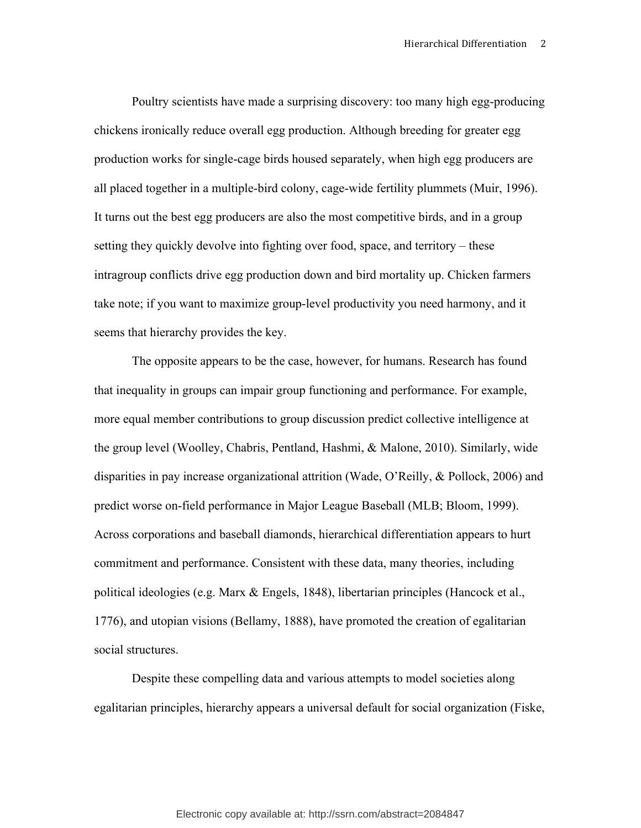Poultry scientists have made a surprising discovery: too many high egg-producing chickens ironically reduce overall egg production. Although breeding for greater egg production works for single-cage birds housed separately, when high egg producers are all placed together in a multiple-bird colony, cage-wide fertility plummets (Muir, 1996). It turns out the best egg producers are also the most competitive birds, and in a group setting they quickly devolve into fighting over food, space, and territory – these intragroup conflicts drive egg production down and bird mortality up. Chicken farmers take note; if you want to maximize group-level productivity you need harmony, and it seems that hierarchy provides the key.

The opposite appears to be the case, however, for humans. Research has found that inequality in groups can impair group functioning and performance. For example, more equal member contributions to group discussion predict collective intelligence at the group level (Woolley, Chabris, Pentland, Hashmi, & Malone, 2010). Similarly, wide disparities in pay increase organizational attrition (Wade, O'Reilly, & Pollock, 2006) and predict worse on-field performance in Major League Baseball (MLB; Bloom, 1999). Across corporations and baseball diamonds, hierarchical differentiation appears to hurt commitment and performance. Consistent with these data, many theories, including political ideologies (e.g. Marx & Engels, 1848), libertarian principles (Hancock et al., 1776), and utopian visions (Bellamy, 1888), have promoted the creation of egalitarian social structures.

Despite these compelling data and various attempts to model societies along egalitarian principles, hierarchy appears a universal default for social organization (Fiske,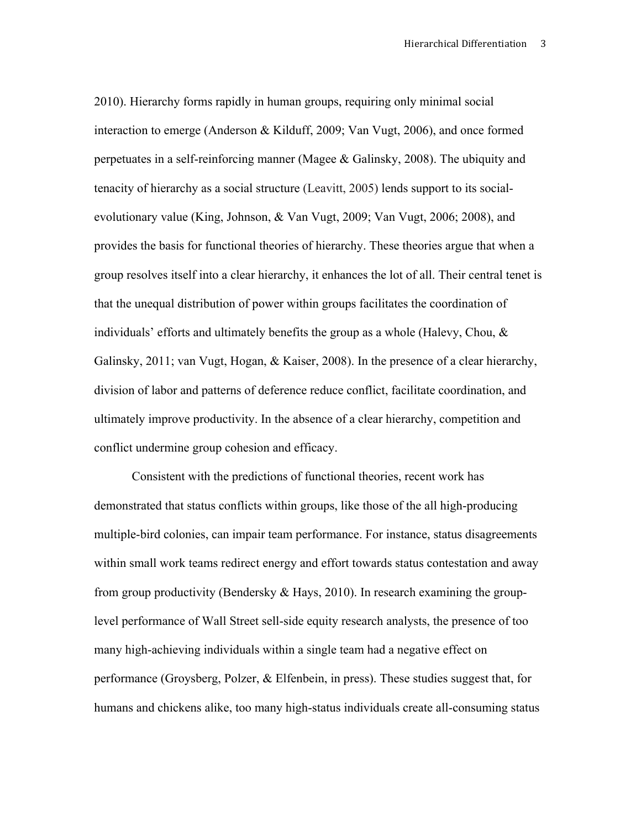2010). Hierarchy forms rapidly in human groups, requiring only minimal social interaction to emerge (Anderson & Kilduff, 2009; Van Vugt, 2006), and once formed perpetuates in a self-reinforcing manner (Magee & Galinsky, 2008). The ubiquity and tenacity of hierarchy as a social structure (Leavitt, 2005) lends support to its socialevolutionary value (King, Johnson, & Van Vugt, 2009; Van Vugt, 2006; 2008), and provides the basis for functional theories of hierarchy. These theories argue that when a group resolves itself into a clear hierarchy, it enhances the lot of all. Their central tenet is that the unequal distribution of power within groups facilitates the coordination of individuals' efforts and ultimately benefits the group as a whole (Halevy, Chou, & Galinsky, 2011; van Vugt, Hogan, & Kaiser, 2008). In the presence of a clear hierarchy, division of labor and patterns of deference reduce conflict, facilitate coordination, and ultimately improve productivity. In the absence of a clear hierarchy, competition and conflict undermine group cohesion and efficacy.

Consistent with the predictions of functional theories, recent work has demonstrated that status conflicts within groups, like those of the all high-producing multiple-bird colonies, can impair team performance. For instance, status disagreements within small work teams redirect energy and effort towards status contestation and away from group productivity (Bendersky & Hays, 2010). In research examining the grouplevel performance of Wall Street sell-side equity research analysts, the presence of too many high-achieving individuals within a single team had a negative effect on performance (Groysberg, Polzer, & Elfenbein, in press). These studies suggest that, for humans and chickens alike, too many high-status individuals create all-consuming status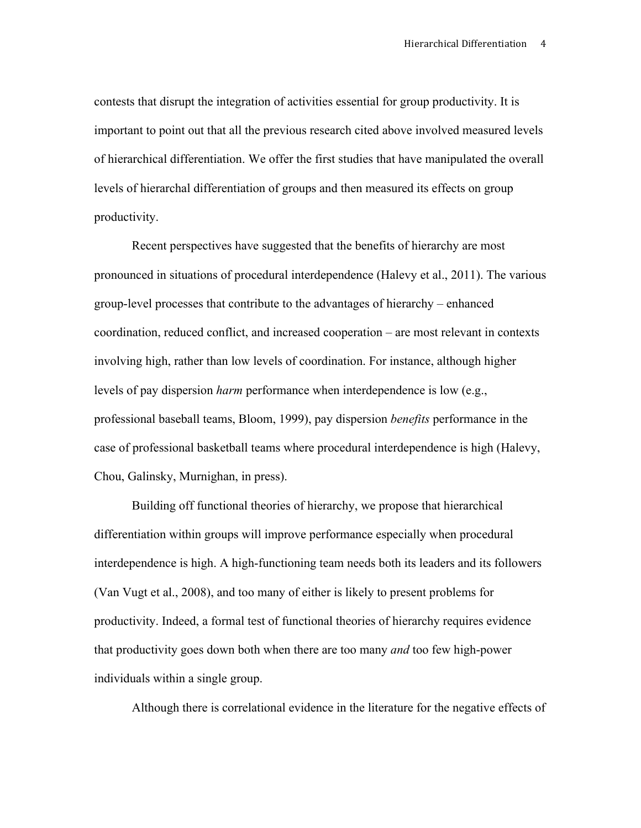contests that disrupt the integration of activities essential for group productivity. It is important to point out that all the previous research cited above involved measured levels of hierarchical differentiation. We offer the first studies that have manipulated the overall levels of hierarchal differentiation of groups and then measured its effects on group productivity.

Recent perspectives have suggested that the benefits of hierarchy are most pronounced in situations of procedural interdependence (Halevy et al., 2011). The various group-level processes that contribute to the advantages of hierarchy – enhanced coordination, reduced conflict, and increased cooperation – are most relevant in contexts involving high, rather than low levels of coordination. For instance, although higher levels of pay dispersion *harm* performance when interdependence is low (e.g., professional baseball teams, Bloom, 1999), pay dispersion *benefits* performance in the case of professional basketball teams where procedural interdependence is high (Halevy, Chou, Galinsky, Murnighan, in press).

Building off functional theories of hierarchy, we propose that hierarchical differentiation within groups will improve performance especially when procedural interdependence is high. A high-functioning team needs both its leaders and its followers (Van Vugt et al., 2008), and too many of either is likely to present problems for productivity. Indeed, a formal test of functional theories of hierarchy requires evidence that productivity goes down both when there are too many *and* too few high-power individuals within a single group.

Although there is correlational evidence in the literature for the negative effects of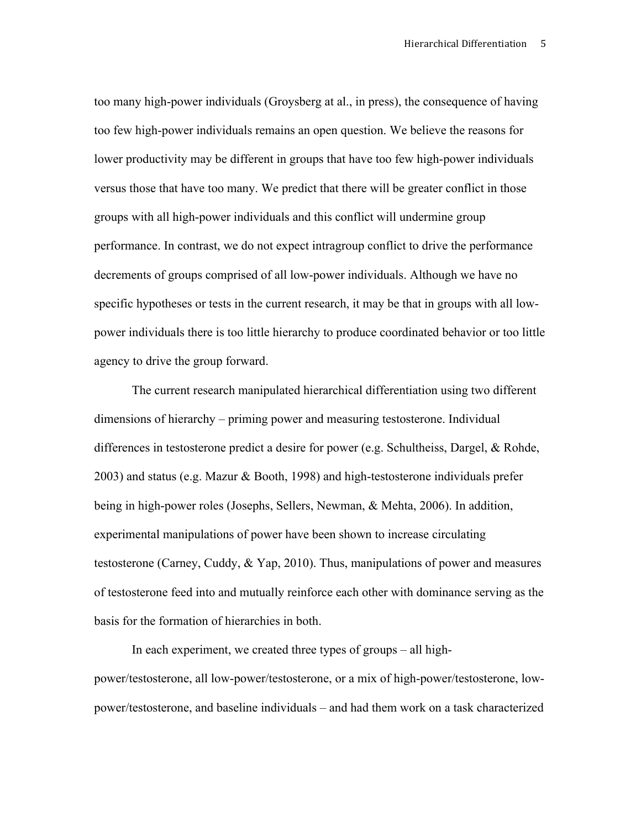too many high-power individuals (Groysberg at al., in press), the consequence of having too few high-power individuals remains an open question. We believe the reasons for lower productivity may be different in groups that have too few high-power individuals versus those that have too many. We predict that there will be greater conflict in those groups with all high-power individuals and this conflict will undermine group performance. In contrast, we do not expect intragroup conflict to drive the performance decrements of groups comprised of all low-power individuals. Although we have no specific hypotheses or tests in the current research, it may be that in groups with all lowpower individuals there is too little hierarchy to produce coordinated behavior or too little agency to drive the group forward.

The current research manipulated hierarchical differentiation using two different dimensions of hierarchy – priming power and measuring testosterone. Individual differences in testosterone predict a desire for power (e.g. Schultheiss, Dargel, & Rohde, 2003) and status (e.g. Mazur & Booth, 1998) and high-testosterone individuals prefer being in high-power roles (Josephs, Sellers, Newman, & Mehta, 2006). In addition, experimental manipulations of power have been shown to increase circulating testosterone (Carney, Cuddy, & Yap, 2010). Thus, manipulations of power and measures of testosterone feed into and mutually reinforce each other with dominance serving as the basis for the formation of hierarchies in both.

In each experiment, we created three types of groups – all highpower/testosterone, all low-power/testosterone, or a mix of high-power/testosterone, lowpower/testosterone, and baseline individuals – and had them work on a task characterized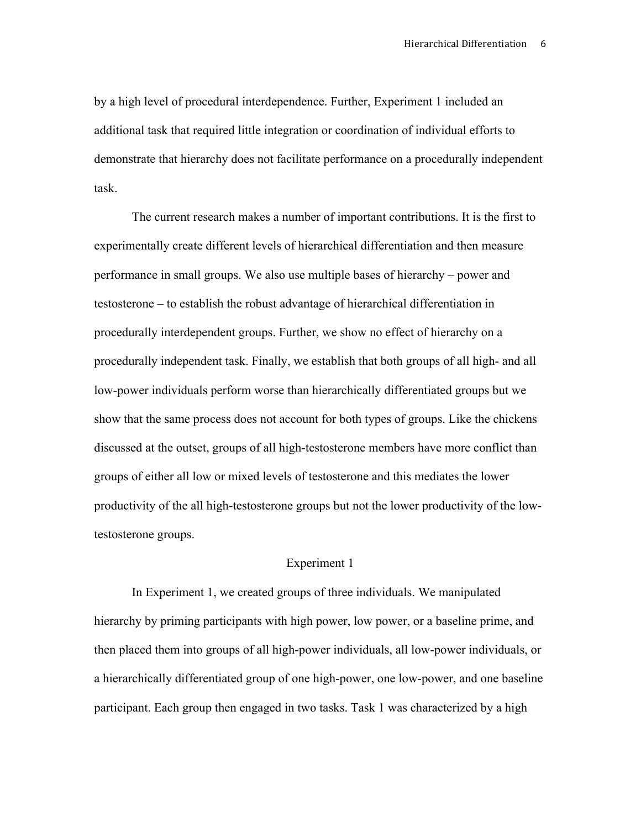by a high level of procedural interdependence. Further, Experiment 1 included an additional task that required little integration or coordination of individual efforts to demonstrate that hierarchy does not facilitate performance on a procedurally independent task.

The current research makes a number of important contributions. It is the first to experimentally create different levels of hierarchical differentiation and then measure performance in small groups. We also use multiple bases of hierarchy – power and testosterone – to establish the robust advantage of hierarchical differentiation in procedurally interdependent groups. Further, we show no effect of hierarchy on a procedurally independent task. Finally, we establish that both groups of all high- and all low-power individuals perform worse than hierarchically differentiated groups but we show that the same process does not account for both types of groups. Like the chickens discussed at the outset, groups of all high-testosterone members have more conflict than groups of either all low or mixed levels of testosterone and this mediates the lower productivity of the all high-testosterone groups but not the lower productivity of the lowtestosterone groups.

### Experiment 1

In Experiment 1, we created groups of three individuals. We manipulated hierarchy by priming participants with high power, low power, or a baseline prime, and then placed them into groups of all high-power individuals, all low-power individuals, or a hierarchically differentiated group of one high-power, one low-power, and one baseline participant. Each group then engaged in two tasks. Task 1 was characterized by a high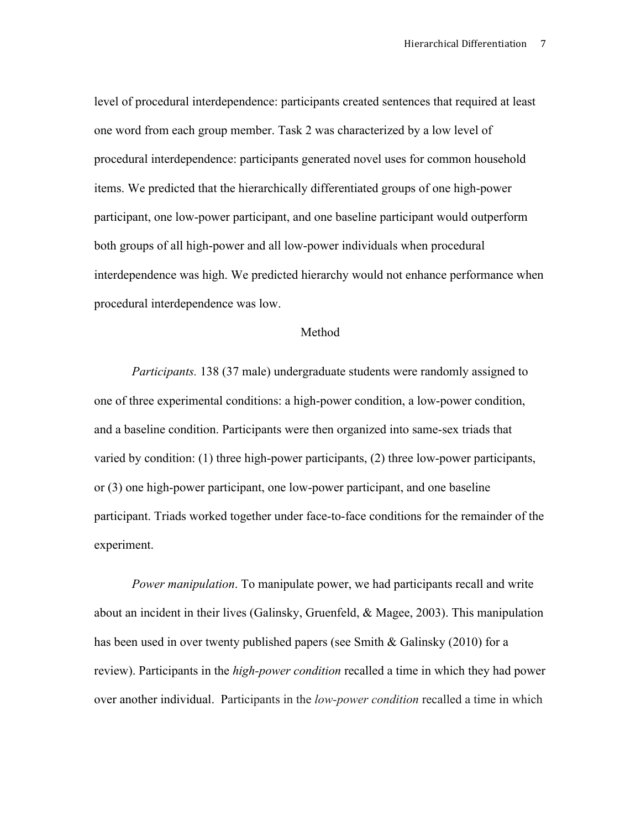level of procedural interdependence: participants created sentences that required at least one word from each group member. Task 2 was characterized by a low level of procedural interdependence: participants generated novel uses for common household items. We predicted that the hierarchically differentiated groups of one high-power participant, one low-power participant, and one baseline participant would outperform both groups of all high-power and all low-power individuals when procedural interdependence was high. We predicted hierarchy would not enhance performance when procedural interdependence was low.

#### Method

*Participants.* 138 (37 male) undergraduate students were randomly assigned to one of three experimental conditions: a high-power condition, a low-power condition, and a baseline condition. Participants were then organized into same-sex triads that varied by condition: (1) three high-power participants, (2) three low-power participants, or (3) one high-power participant, one low-power participant, and one baseline participant. Triads worked together under face-to-face conditions for the remainder of the experiment.

*Power manipulation*. To manipulate power, we had participants recall and write about an incident in their lives (Galinsky, Gruenfeld, & Magee, 2003). This manipulation has been used in over twenty published papers (see Smith & Galinsky (2010) for a review). Participants in the *high-power condition* recalled a time in which they had power over another individual. Participants in the *low-power condition* recalled a time in which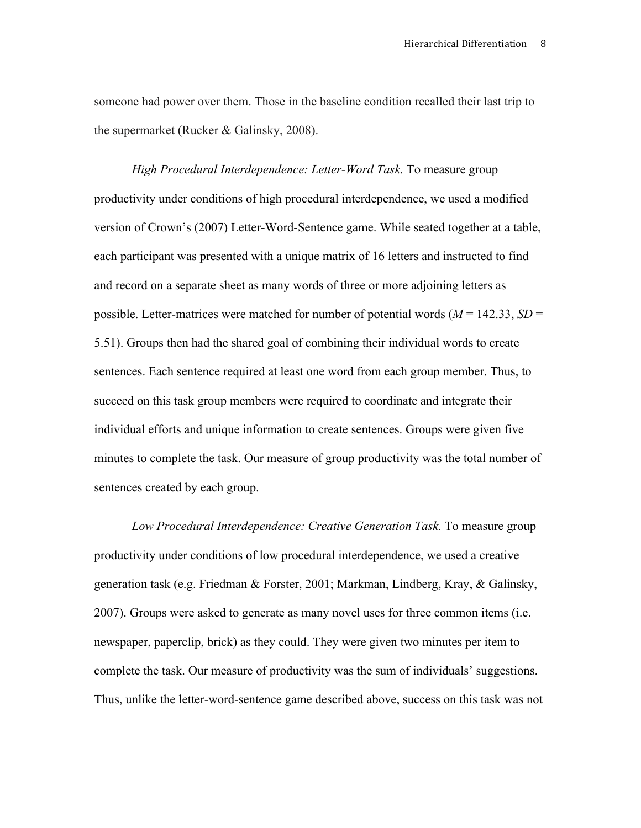someone had power over them. Those in the baseline condition recalled their last trip to the supermarket (Rucker & Galinsky, 2008).

*High Procedural Interdependence: Letter-Word Task.* To measure group productivity under conditions of high procedural interdependence, we used a modified version of Crown's (2007) Letter-Word-Sentence game. While seated together at a table, each participant was presented with a unique matrix of 16 letters and instructed to find and record on a separate sheet as many words of three or more adjoining letters as possible. Letter-matrices were matched for number of potential words (*M* = 142.33, *SD* = 5.51). Groups then had the shared goal of combining their individual words to create sentences. Each sentence required at least one word from each group member. Thus, to succeed on this task group members were required to coordinate and integrate their individual efforts and unique information to create sentences. Groups were given five minutes to complete the task. Our measure of group productivity was the total number of sentences created by each group.

*Low Procedural Interdependence: Creative Generation Task.* To measure group productivity under conditions of low procedural interdependence, we used a creative generation task (e.g. Friedman & Forster, 2001; Markman, Lindberg, Kray, & Galinsky, 2007). Groups were asked to generate as many novel uses for three common items (i.e. newspaper, paperclip, brick) as they could. They were given two minutes per item to complete the task. Our measure of productivity was the sum of individuals' suggestions. Thus, unlike the letter-word-sentence game described above, success on this task was not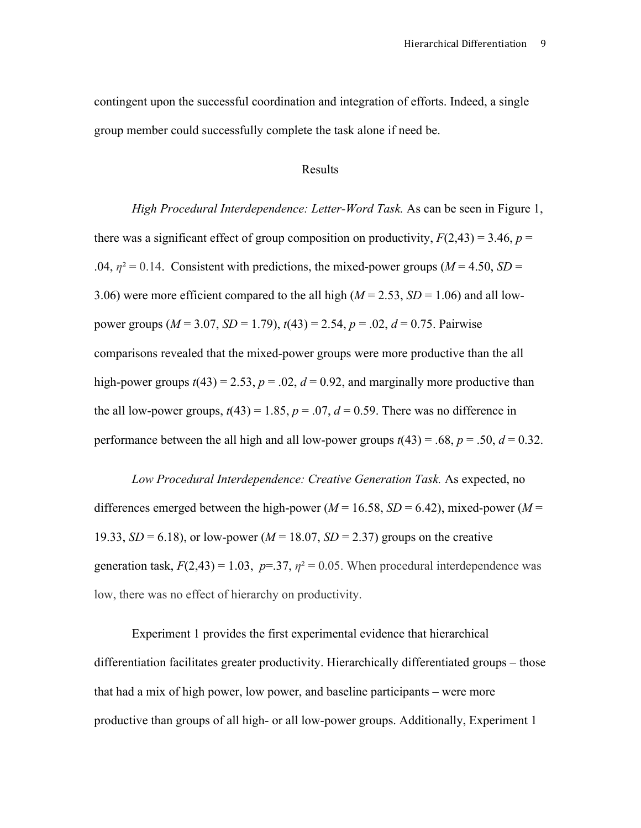contingent upon the successful coordination and integration of efforts. Indeed, a single group member could successfully complete the task alone if need be.

### Results

*High Procedural Interdependence: Letter-Word Task.* As can be seen in Figure 1, there was a significant effect of group composition on productivity,  $F(2,43) = 3.46$ ,  $p =$ .04,  $\eta^2 = 0.14$ . Consistent with predictions, the mixed-power groups ( $M = 4.50$ ,  $SD =$ 3.06) were more efficient compared to the all high  $(M = 2.53, SD = 1.06)$  and all lowpower groups (*M* = 3.07, *SD* = 1.79), *t*(43) = 2.54, *p* = .02, *d* = 0.75. Pairwise comparisons revealed that the mixed-power groups were more productive than the all high-power groups  $t(43) = 2.53$ ,  $p = .02$ ,  $d = 0.92$ , and marginally more productive than the all low-power groups,  $t(43) = 1.85$ ,  $p = .07$ ,  $d = 0.59$ . There was no difference in performance between the all high and all low-power groups  $t(43) = .68$ ,  $p = .50$ ,  $d = 0.32$ .

*Low Procedural Interdependence: Creative Generation Task.* As expected, no differences emerged between the high-power ( $M = 16.58$ ,  $SD = 6.42$ ), mixed-power ( $M =$ 19.33,  $SD = 6.18$ ), or low-power ( $M = 18.07$ ,  $SD = 2.37$ ) groups on the creative generation task,  $F(2,43) = 1.03$ ,  $p = 37$ ,  $\eta^2 = 0.05$ . When procedural interdependence was low, there was no effect of hierarchy on productivity.

Experiment 1 provides the first experimental evidence that hierarchical differentiation facilitates greater productivity. Hierarchically differentiated groups – those that had a mix of high power, low power, and baseline participants – were more productive than groups of all high- or all low-power groups. Additionally, Experiment 1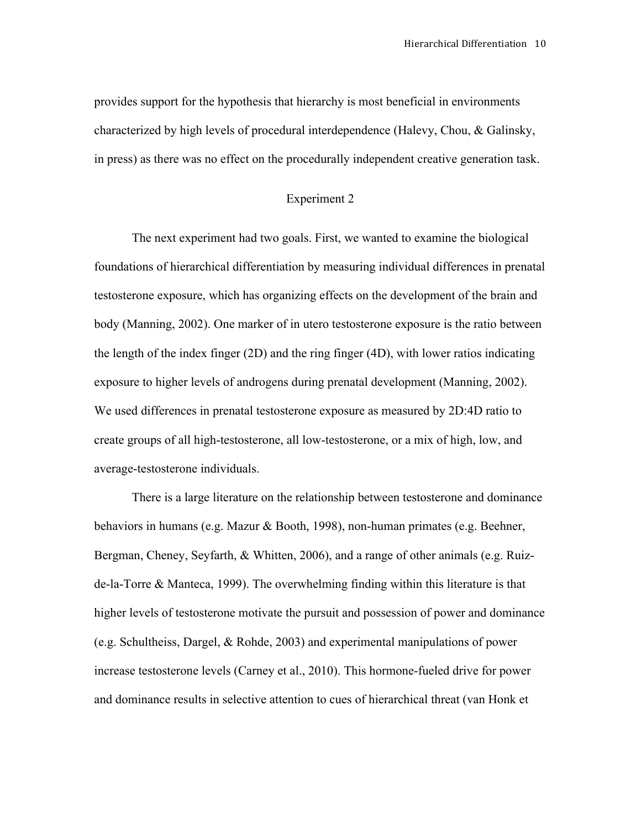provides support for the hypothesis that hierarchy is most beneficial in environments characterized by high levels of procedural interdependence (Halevy, Chou, & Galinsky, in press) as there was no effect on the procedurally independent creative generation task.

#### Experiment 2

The next experiment had two goals. First, we wanted to examine the biological foundations of hierarchical differentiation by measuring individual differences in prenatal testosterone exposure, which has organizing effects on the development of the brain and body (Manning, 2002). One marker of in utero testosterone exposure is the ratio between the length of the index finger (2D) and the ring finger (4D), with lower ratios indicating exposure to higher levels of androgens during prenatal development (Manning, 2002). We used differences in prenatal testosterone exposure as measured by 2D:4D ratio to create groups of all high-testosterone, all low-testosterone, or a mix of high, low, and average-testosterone individuals.

There is a large literature on the relationship between testosterone and dominance behaviors in humans (e.g. Mazur & Booth, 1998), non-human primates (e.g. Beehner, Bergman, Cheney, Seyfarth, & Whitten, 2006), and a range of other animals (e.g. Ruizde-la-Torre & Manteca, 1999). The overwhelming finding within this literature is that higher levels of testosterone motivate the pursuit and possession of power and dominance (e.g. Schultheiss, Dargel, & Rohde, 2003) and experimental manipulations of power increase testosterone levels (Carney et al., 2010). This hormone-fueled drive for power and dominance results in selective attention to cues of hierarchical threat (van Honk et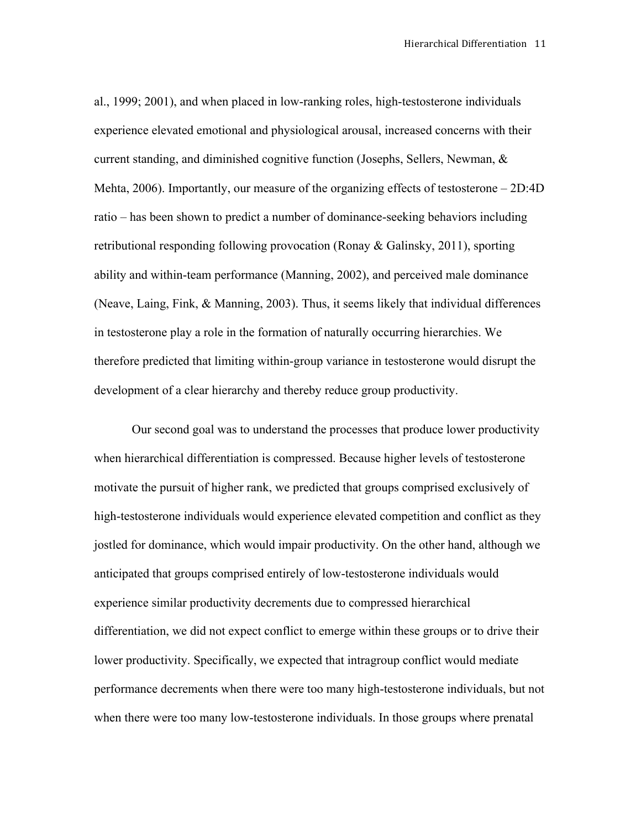al., 1999; 2001), and when placed in low-ranking roles, high-testosterone individuals experience elevated emotional and physiological arousal, increased concerns with their current standing, and diminished cognitive function (Josephs, Sellers, Newman, & Mehta, 2006). Importantly, our measure of the organizing effects of testosterone – 2D:4D ratio – has been shown to predict a number of dominance-seeking behaviors including retributional responding following provocation (Ronay & Galinsky, 2011), sporting ability and within-team performance (Manning, 2002), and perceived male dominance (Neave, Laing, Fink, & Manning, 2003). Thus, it seems likely that individual differences in testosterone play a role in the formation of naturally occurring hierarchies. We therefore predicted that limiting within-group variance in testosterone would disrupt the development of a clear hierarchy and thereby reduce group productivity.

Our second goal was to understand the processes that produce lower productivity when hierarchical differentiation is compressed. Because higher levels of testosterone motivate the pursuit of higher rank, we predicted that groups comprised exclusively of high-testosterone individuals would experience elevated competition and conflict as they jostled for dominance, which would impair productivity. On the other hand, although we anticipated that groups comprised entirely of low-testosterone individuals would experience similar productivity decrements due to compressed hierarchical differentiation, we did not expect conflict to emerge within these groups or to drive their lower productivity. Specifically, we expected that intragroup conflict would mediate performance decrements when there were too many high-testosterone individuals, but not when there were too many low-testosterone individuals. In those groups where prenatal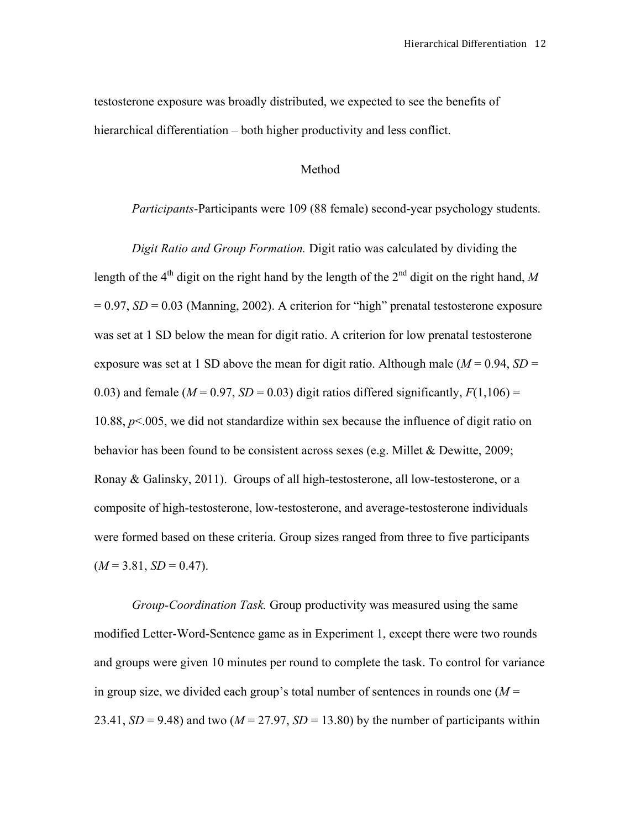testosterone exposure was broadly distributed, we expected to see the benefits of hierarchical differentiation – both higher productivity and less conflict.

## Method

### *Participants-*Participants were 109 (88 female) second-year psychology students.

*Digit Ratio and Group Formation.* Digit ratio was calculated by dividing the length of the 4<sup>th</sup> digit on the right hand by the length of the  $2<sup>nd</sup>$  digit on the right hand, M  $= 0.97$ ,  $SD = 0.03$  (Manning, 2002). A criterion for "high" prenatal testosterone exposure was set at 1 SD below the mean for digit ratio. A criterion for low prenatal testosterone exposure was set at 1 SD above the mean for digit ratio. Although male  $(M = 0.94, SD =$ 0.03) and female ( $M = 0.97$ ,  $SD = 0.03$ ) digit ratios differed significantly,  $F(1,106) =$ 10.88, *p*<.005, we did not standardize within sex because the influence of digit ratio on behavior has been found to be consistent across sexes (e.g. Millet & Dewitte, 2009; Ronay & Galinsky, 2011). Groups of all high-testosterone, all low-testosterone, or a composite of high-testosterone, low-testosterone, and average-testosterone individuals were formed based on these criteria. Group sizes ranged from three to five participants  $(M = 3.81, SD = 0.47)$ .

*Group-Coordination Task.* Group productivity was measured using the same modified Letter-Word-Sentence game as in Experiment 1, except there were two rounds and groups were given 10 minutes per round to complete the task. To control for variance in group size, we divided each group's total number of sentences in rounds one  $(M =$ 23.41,  $SD = 9.48$ ) and two ( $M = 27.97$ ,  $SD = 13.80$ ) by the number of participants within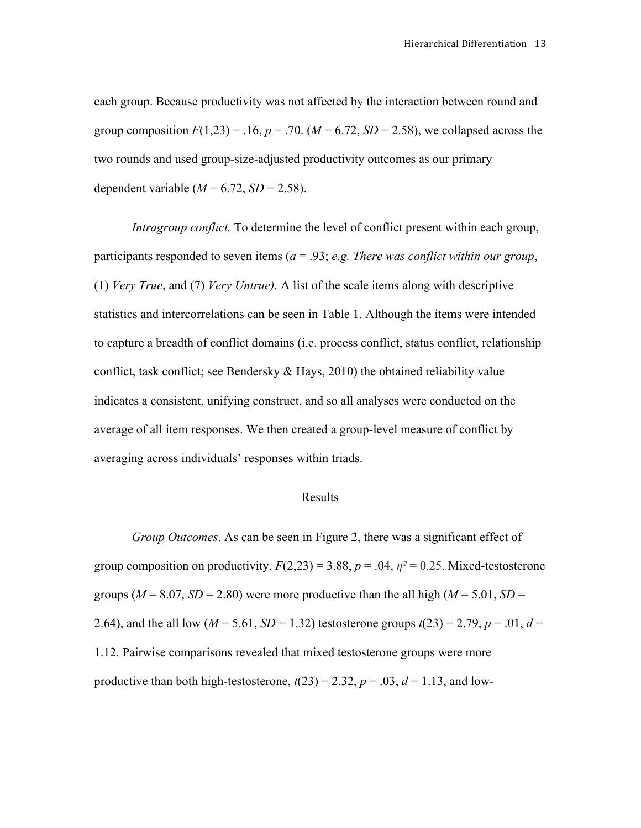each group. Because productivity was not affected by the interaction between round and group composition  $F(1,23) = .16$ ,  $p = .70$ . ( $M = 6.72$ ,  $SD = 2.58$ ), we collapsed across the two rounds and used group-size-adjusted productivity outcomes as our primary dependent variable  $(M = 6.72, SD = 2.58)$ .

*Intragroup conflict.* To determine the level of conflict present within each group, participants responded to seven items (*a* = .93; *e.g. There was conflict within our group*, (1) *Very True*, and (7) *Very Untrue).* A list of the scale items along with descriptive statistics and intercorrelations can be seen in Table 1. Although the items were intended to capture a breadth of conflict domains (i.e. process conflict, status conflict, relationship conflict, task conflict; see Bendersky & Hays, 2010) the obtained reliability value indicates a consistent, unifying construct, and so all analyses were conducted on the average of all item responses. We then created a group-level measure of conflict by averaging across individuals' responses within triads.

#### Results

*Group Outcomes*. As can be seen in Figure 2, there was a significant effect of group composition on productivity,  $F(2,23) = 3.88$ ,  $p = .04$ ,  $\eta^2 = 0.25$ . Mixed-testosterone groups ( $M = 8.07$ ,  $SD = 2.80$ ) were more productive than the all high ( $M = 5.01$ ,  $SD =$ 2.64), and the all low ( $M = 5.61$ ,  $SD = 1.32$ ) testosterone groups  $t(23) = 2.79$ ,  $p = .01$ ,  $d =$ 1.12. Pairwise comparisons revealed that mixed testosterone groups were more productive than both high-testosterone,  $t(23) = 2.32$ ,  $p = .03$ ,  $d = 1.13$ , and low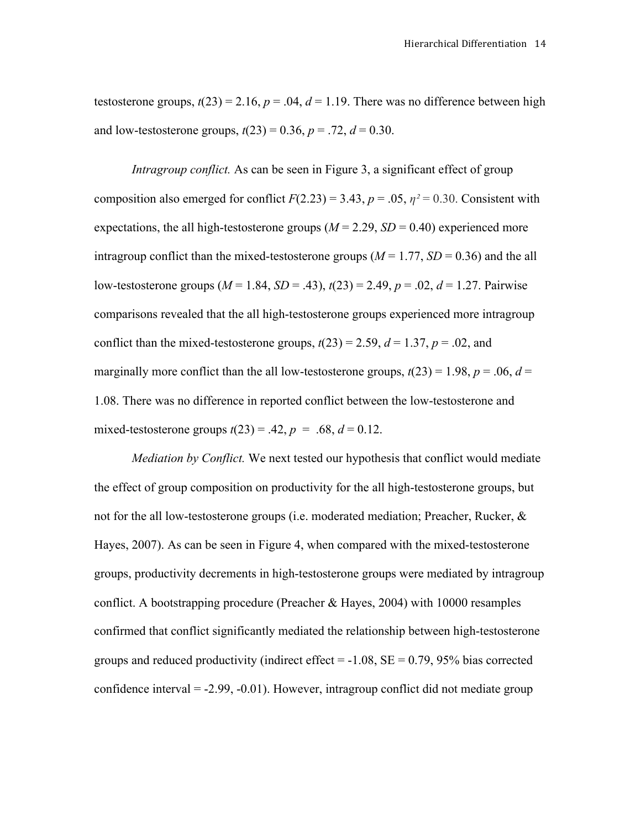testosterone groups,  $t(23) = 2.16$ ,  $p = .04$ ,  $d = 1.19$ . There was no difference between high and low-testosterone groups,  $t(23) = 0.36$ ,  $p = .72$ ,  $d = 0.30$ .

*Intragroup conflict.* As can be seen in Figure 3, a significant effect of group composition also emerged for conflict  $F(2.23) = 3.43$ ,  $p = .05$ ,  $p^2 = 0.30$ . Consistent with expectations, the all high-testosterone groups  $(M = 2.29, SD = 0.40)$  experienced more intragroup conflict than the mixed-testosterone groups  $(M = 1.77, SD = 0.36)$  and the all low-testosterone groups  $(M = 1.84, SD = .43)$ ,  $t(23) = 2.49, p = .02, d = 1.27$ . Pairwise comparisons revealed that the all high-testosterone groups experienced more intragroup conflict than the mixed-testosterone groups,  $t(23) = 2.59$ ,  $d = 1.37$ ,  $p = .02$ , and marginally more conflict than the all low-testosterone groups,  $t(23) = 1.98$ ,  $p = .06$ ,  $d =$ 1.08. There was no difference in reported conflict between the low-testosterone and mixed-testosterone groups  $t(23) = .42$ ,  $p = .68$ ,  $d = 0.12$ .

*Mediation by Conflict.* We next tested our hypothesis that conflict would mediate the effect of group composition on productivity for the all high-testosterone groups, but not for the all low-testosterone groups (i.e. moderated mediation; Preacher, Rucker,  $\&$ Hayes, 2007). As can be seen in Figure 4, when compared with the mixed-testosterone groups, productivity decrements in high-testosterone groups were mediated by intragroup conflict. A bootstrapping procedure (Preacher & Hayes, 2004) with 10000 resamples confirmed that conflict significantly mediated the relationship between high-testosterone groups and reduced productivity (indirect effect  $= -1.08$ ,  $SE = 0.79$ , 95% bias corrected confidence interval  $= -2.99, -0.01$ . However, intragroup conflict did not mediate group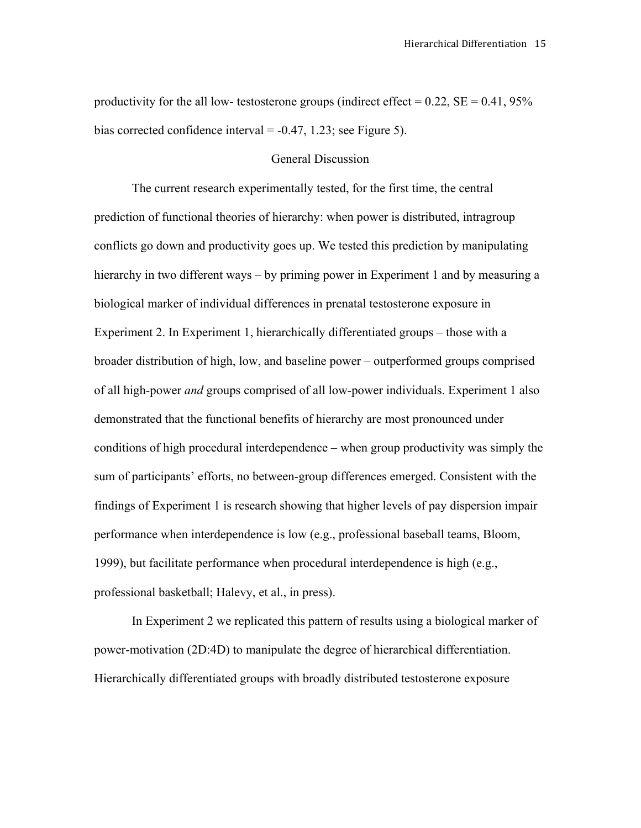productivity for the all low- testosterone groups (indirect effect =  $0.22$ , SE =  $0.41$ , 95% bias corrected confidence interval  $= -0.47, 1.23$ ; see Figure 5).

#### General Discussion

The current research experimentally tested, for the first time, the central prediction of functional theories of hierarchy: when power is distributed, intragroup conflicts go down and productivity goes up. We tested this prediction by manipulating hierarchy in two different ways – by priming power in Experiment 1 and by measuring a biological marker of individual differences in prenatal testosterone exposure in Experiment 2. In Experiment 1, hierarchically differentiated groups – those with a broader distribution of high, low, and baseline power – outperformed groups comprised of all high-power *and* groups comprised of all low-power individuals. Experiment 1 also demonstrated that the functional benefits of hierarchy are most pronounced under conditions of high procedural interdependence – when group productivity was simply the sum of participants' efforts, no between-group differences emerged. Consistent with the findings of Experiment 1 is research showing that higher levels of pay dispersion impair performance when interdependence is low (e.g., professional baseball teams, Bloom, 1999), but facilitate performance when procedural interdependence is high (e.g., professional basketball; Halevy, et al., in press).

In Experiment 2 we replicated this pattern of results using a biological marker of power-motivation (2D:4D) to manipulate the degree of hierarchical differentiation. Hierarchically differentiated groups with broadly distributed testosterone exposure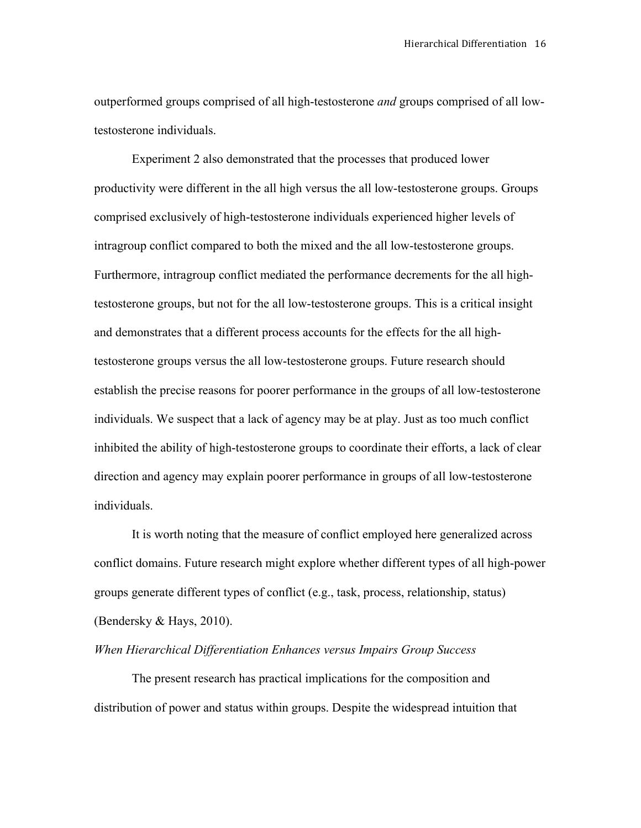outperformed groups comprised of all high-testosterone *and* groups comprised of all lowtestosterone individuals.

Experiment 2 also demonstrated that the processes that produced lower productivity were different in the all high versus the all low-testosterone groups. Groups comprised exclusively of high-testosterone individuals experienced higher levels of intragroup conflict compared to both the mixed and the all low-testosterone groups. Furthermore, intragroup conflict mediated the performance decrements for the all hightestosterone groups, but not for the all low-testosterone groups. This is a critical insight and demonstrates that a different process accounts for the effects for the all hightestosterone groups versus the all low-testosterone groups. Future research should establish the precise reasons for poorer performance in the groups of all low-testosterone individuals. We suspect that a lack of agency may be at play. Just as too much conflict inhibited the ability of high-testosterone groups to coordinate their efforts, a lack of clear direction and agency may explain poorer performance in groups of all low-testosterone individuals.

It is worth noting that the measure of conflict employed here generalized across conflict domains. Future research might explore whether different types of all high-power groups generate different types of conflict (e.g., task, process, relationship, status) (Bendersky & Hays, 2010).

### *When Hierarchical Differentiation Enhances versus Impairs Group Success*

The present research has practical implications for the composition and distribution of power and status within groups. Despite the widespread intuition that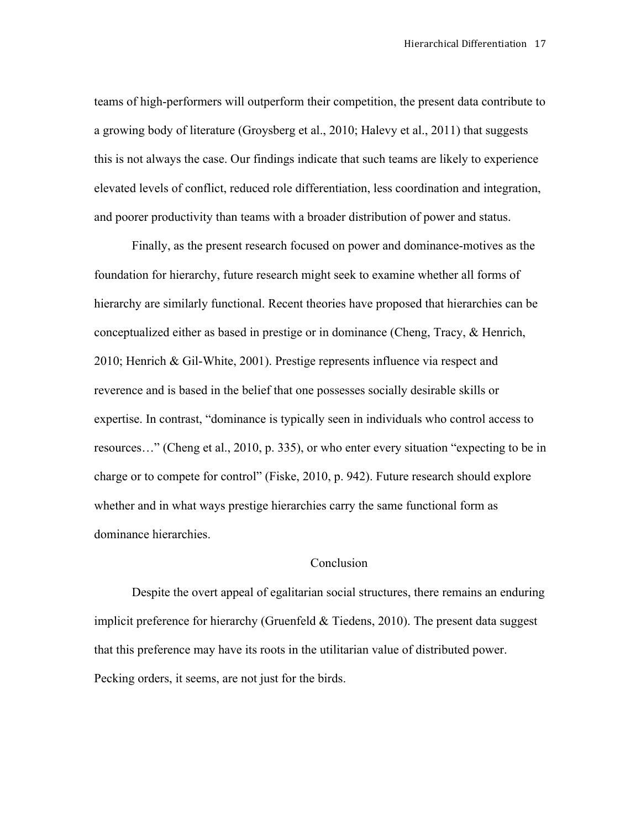teams of high-performers will outperform their competition, the present data contribute to a growing body of literature (Groysberg et al., 2010; Halevy et al., 2011) that suggests this is not always the case. Our findings indicate that such teams are likely to experience elevated levels of conflict, reduced role differentiation, less coordination and integration, and poorer productivity than teams with a broader distribution of power and status.

Finally, as the present research focused on power and dominance-motives as the foundation for hierarchy, future research might seek to examine whether all forms of hierarchy are similarly functional. Recent theories have proposed that hierarchies can be conceptualized either as based in prestige or in dominance (Cheng, Tracy, & Henrich, 2010; Henrich & Gil-White, 2001). Prestige represents influence via respect and reverence and is based in the belief that one possesses socially desirable skills or expertise. In contrast, "dominance is typically seen in individuals who control access to resources…" (Cheng et al., 2010, p. 335), or who enter every situation "expecting to be in charge or to compete for control" (Fiske, 2010, p. 942). Future research should explore whether and in what ways prestige hierarchies carry the same functional form as dominance hierarchies.

### Conclusion

Despite the overt appeal of egalitarian social structures, there remains an enduring implicit preference for hierarchy (Gruenfeld & Tiedens, 2010). The present data suggest that this preference may have its roots in the utilitarian value of distributed power. Pecking orders, it seems, are not just for the birds.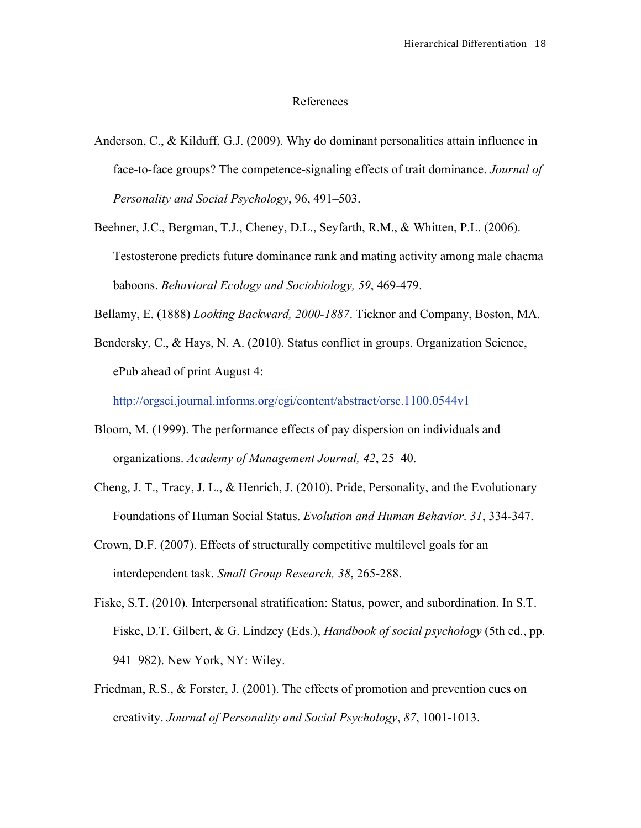#### References

- Anderson, C., & Kilduff, G.J. (2009). Why do dominant personalities attain influence in face-to-face groups? The competence-signaling effects of trait dominance. *Journal of Personality and Social Psychology*, 96, 491–503.
- Beehner, J.C., Bergman, T.J., Cheney, D.L., Seyfarth, R.M., & Whitten, P.L. (2006). Testosterone predicts future dominance rank and mating activity among male chacma baboons. *Behavioral Ecology and Sociobiology, 59*, 469-479.
- Bellamy, E. (1888) *Looking Backward, 2000-1887*. Ticknor and Company, Boston, MA.
- Bendersky, C., & Hays, N. A. (2010). Status conflict in groups. Organization Science, ePub ahead of print August 4:

http://orgsci.journal.informs.org/cgi/content/abstract/orsc.1100.0544v1

- Bloom, M. (1999). The performance effects of pay dispersion on individuals and organizations. *Academy of Management Journal, 42*, 25–40.
- Cheng, J. T., Tracy, J. L., & Henrich, J. (2010). Pride, Personality, and the Evolutionary Foundations of Human Social Status. *Evolution and Human Behavior*. *31*, 334-347.
- Crown, D.F. (2007). Effects of structurally competitive multilevel goals for an interdependent task. *Small Group Research, 38*, 265-288.
- Fiske, S.T. (2010). Interpersonal stratification: Status, power, and subordination. In S.T. Fiske, D.T. Gilbert, & G. Lindzey (Eds.), *Handbook of social psychology* (5th ed., pp. 941–982). New York, NY: Wiley.
- Friedman, R.S., & Forster, J. (2001). The effects of promotion and prevention cues on creativity. *Journal of Personality and Social Psychology*, *87*, 1001-1013.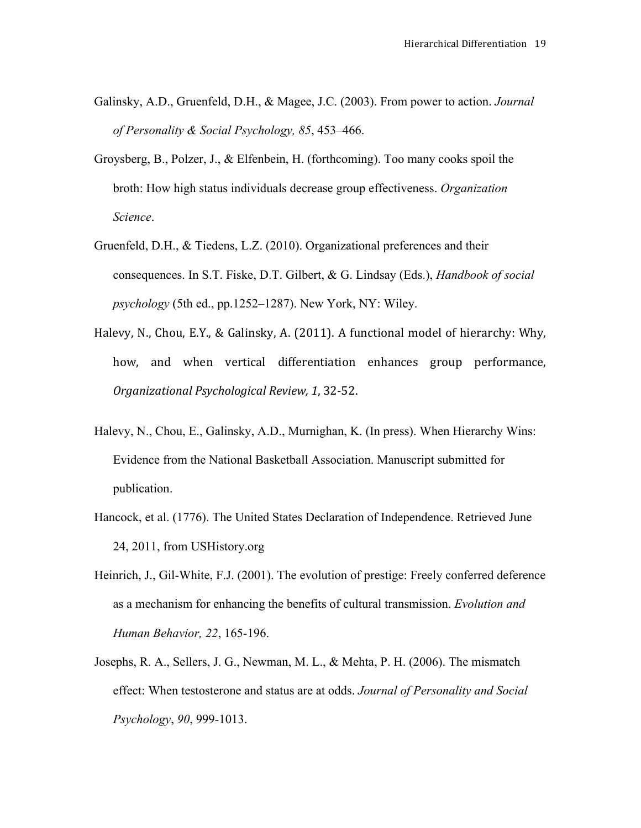- Galinsky, A.D., Gruenfeld, D.H., & Magee, J.C. (2003). From power to action. *Journal of Personality & Social Psychology, 85*, 453–466.
- Groysberg, B., Polzer, J., & Elfenbein, H. (forthcoming). Too many cooks spoil the broth: How high status individuals decrease group effectiveness. *Organization Science*.
- Gruenfeld, D.H., & Tiedens, L.Z. (2010). Organizational preferences and their consequences. In S.T. Fiske, D.T. Gilbert, & G. Lindsay (Eds.), *Handbook of social psychology* (5th ed., pp.1252–1287). New York, NY: Wiley.
- Halevy, N., Chou, E.Y., & Galinsky, A. (2011). A functional model of hierarchy: Why, how, and when vertical differentiation enhances group performance, *Organizational Psychological Review, 1*, 32-52.
- Halevy, N., Chou, E., Galinsky, A.D., Murnighan, K. (In press). When Hierarchy Wins: Evidence from the National Basketball Association. Manuscript submitted for publication.
- Hancock, et al. (1776). The United States Declaration of Independence. Retrieved June 24, 2011, from USHistory.org
- Heinrich, J., Gil-White, F.J. (2001). The evolution of prestige: Freely conferred deference as a mechanism for enhancing the benefits of cultural transmission. *Evolution and Human Behavior, 22*, 165-196.
- Josephs, R. A., Sellers, J. G., Newman, M. L., & Mehta, P. H. (2006). The mismatch effect: When testosterone and status are at odds. *Journal of Personality and Social Psychology*, *90*, 999-1013.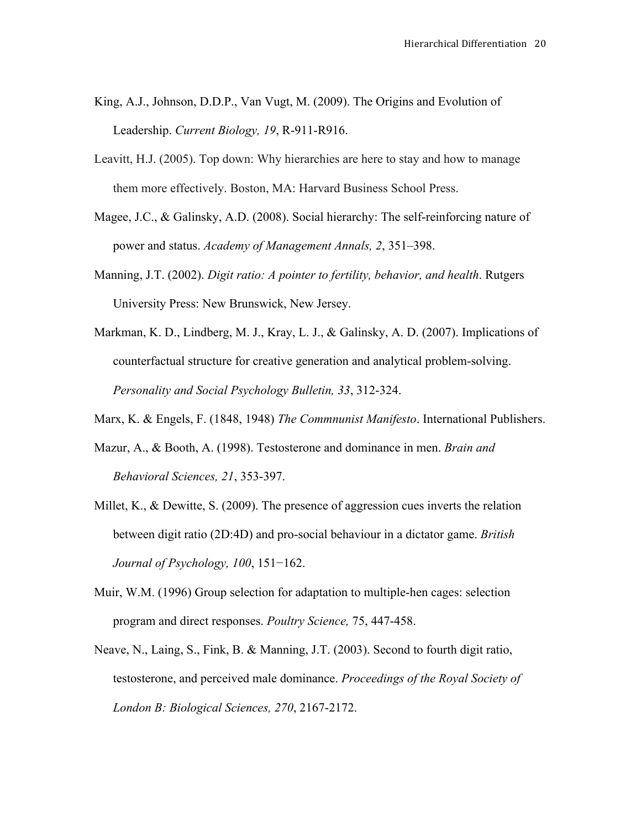- King, A.J., Johnson, D.D.P., Van Vugt, M. (2009). The Origins and Evolution of Leadership. *Current Biology, 19*, R-911-R916.
- Leavitt, H.J. (2005). Top down: Why hierarchies are here to stay and how to manage them more effectively. Boston, MA: Harvard Business School Press.
- Magee, J.C., & Galinsky, A.D. (2008). Social hierarchy: The self-reinforcing nature of power and status. *Academy of Management Annals, 2*, 351–398.
- Manning, J.T. (2002). *Digit ratio: A pointer to fertility, behavior, and health*. Rutgers University Press: New Brunswick, New Jersey.
- Markman, K. D., Lindberg, M. J., Kray, L. J., & Galinsky, A. D. (2007). Implications of counterfactual structure for creative generation and analytical problem-solving. *Personality and Social Psychology Bulletin, 33*, 312-324.
- Marx, K. & Engels, F. (1848, 1948) *The Commnunist Manifesto*. International Publishers.
- Mazur, A., & Booth, A. (1998). Testosterone and dominance in men. *Brain and Behavioral Sciences, 21*, 353-397.
- Millet, K., & Dewitte, S. (2009). The presence of aggression cues inverts the relation between digit ratio (2D:4D) and pro-social behaviour in a dictator game. *British Journal of Psychology, 100*, 151−162.
- Muir, W.M. (1996) Group selection for adaptation to multiple-hen cages: selection program and direct responses. *Poultry Science,* 75, 447-458.
- Neave, N., Laing, S., Fink, B. & Manning, J.T. (2003). Second to fourth digit ratio, testosterone, and perceived male dominance. *Proceedings of the Royal Society of London B: Biological Sciences, 270*, 2167-2172.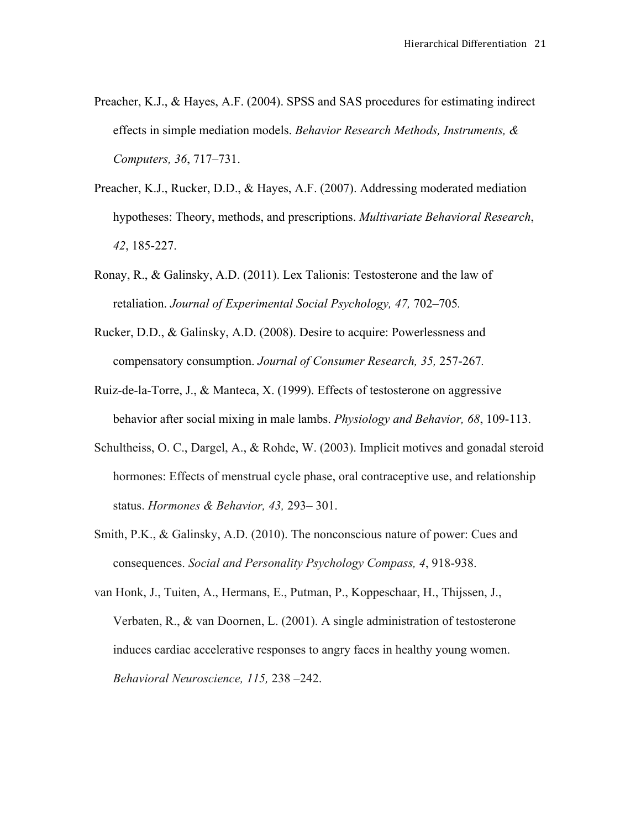- Preacher, K.J., & Hayes, A.F. (2004). SPSS and SAS procedures for estimating indirect effects in simple mediation models. *Behavior Research Methods, Instruments, & Computers, 36*, 717–731.
- Preacher, K.J., Rucker, D.D., & Hayes, A.F. (2007). Addressing moderated mediation hypotheses: Theory, methods, and prescriptions. *Multivariate Behavioral Research*, *42*, 185-227.
- Ronay, R., & Galinsky, A.D. (2011). Lex Talionis: Testosterone and the law of retaliation. *Journal of Experimental Social Psychology, 47,* 702–705*.*
- Rucker, D.D., & Galinsky, A.D. (2008). Desire to acquire: Powerlessness and compensatory consumption. *Journal of Consumer Research, 35,* 257-267*.*
- Ruiz-de-la-Torre, J., & Manteca, X. (1999). Effects of testosterone on aggressive behavior after social mixing in male lambs. *Physiology and Behavior, 68*, 109-113.
- Schultheiss, O. C., Dargel, A., & Rohde, W. (2003). Implicit motives and gonadal steroid hormones: Effects of menstrual cycle phase, oral contraceptive use, and relationship status. *Hormones & Behavior, 43,* 293– 301.
- Smith, P.K., & Galinsky, A.D. (2010). The nonconscious nature of power: Cues and consequences. *Social and Personality Psychology Compass, 4*, 918-938.
- van Honk, J., Tuiten, A., Hermans, E., Putman, P., Koppeschaar, H., Thijssen, J., Verbaten, R., & van Doornen, L. (2001). A single administration of testosterone induces cardiac accelerative responses to angry faces in healthy young women. *Behavioral Neuroscience, 115,* 238 –242.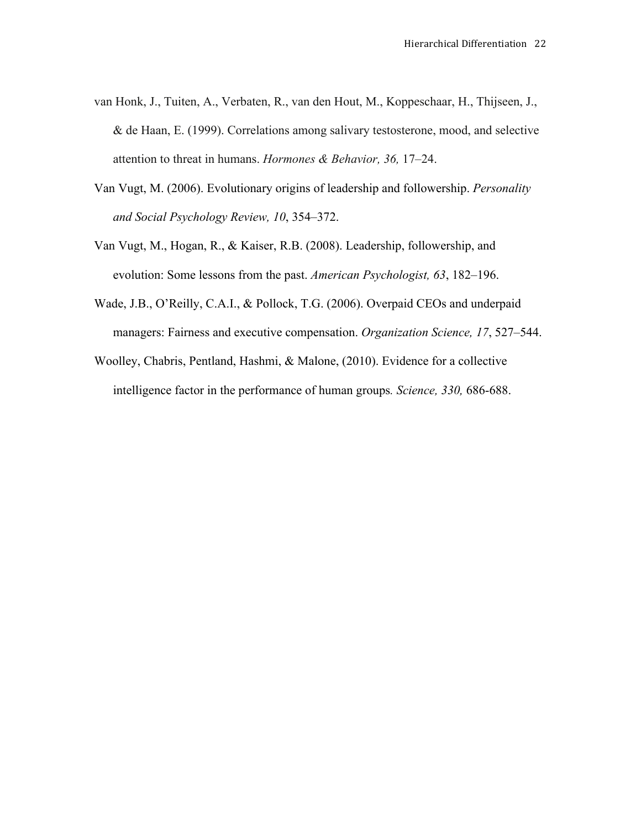- van Honk, J., Tuiten, A., Verbaten, R., van den Hout, M., Koppeschaar, H., Thijseen, J., & de Haan, E. (1999). Correlations among salivary testosterone, mood, and selective attention to threat in humans. *Hormones & Behavior, 36,* 17–24.
- Van Vugt, M. (2006). Evolutionary origins of leadership and followership. *Personality and Social Psychology Review, 10*, 354–372.
- Van Vugt, M., Hogan, R., & Kaiser, R.B. (2008). Leadership, followership, and evolution: Some lessons from the past. *American Psychologist, 63*, 182–196.
- Wade, J.B., O'Reilly, C.A.I., & Pollock, T.G. (2006). Overpaid CEOs and underpaid managers: Fairness and executive compensation. *Organization Science, 17*, 527–544.
- Woolley, Chabris, Pentland, Hashmi, & Malone, (2010). Evidence for a collective intelligence factor in the performance of human groups*. Science, 330,* 686-688.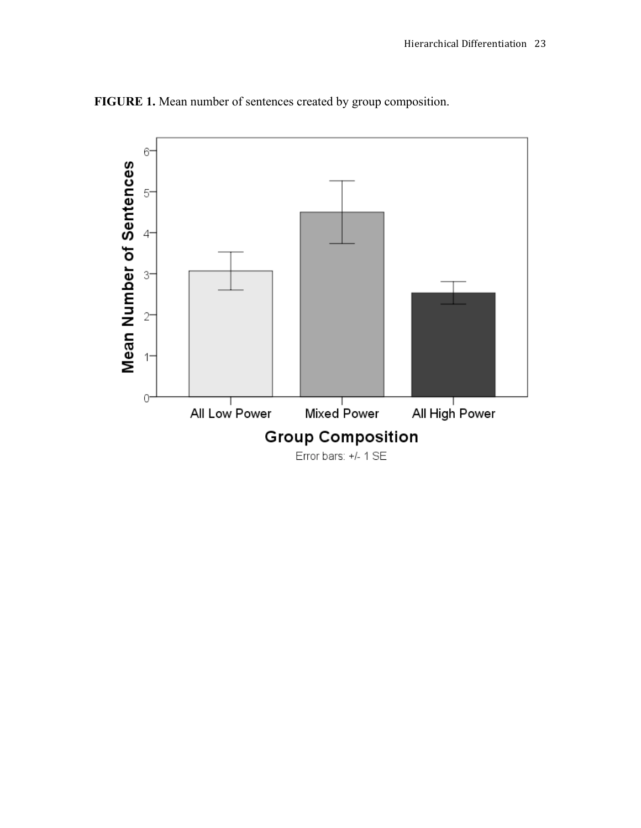

**FIGURE 1.** Mean number of sentences created by group composition.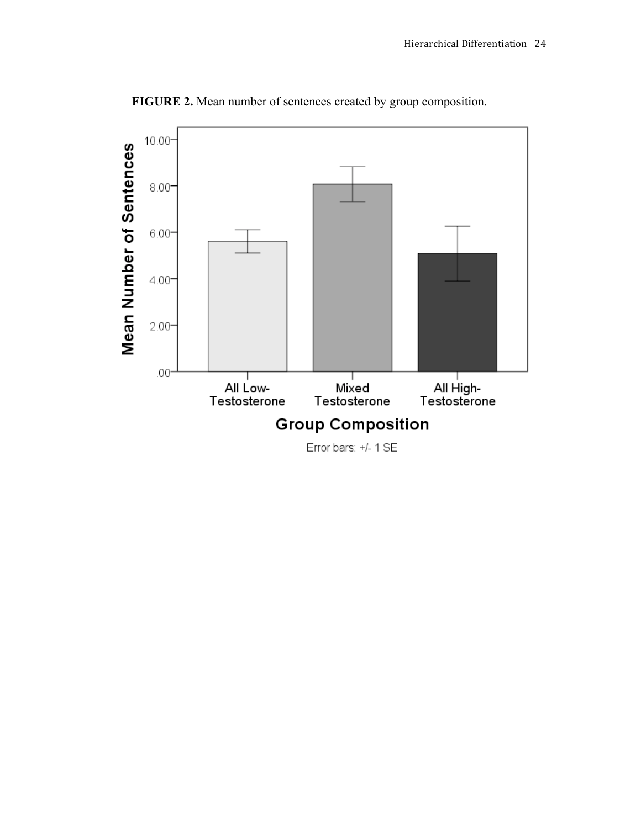

**FIGURE 2.** Mean number of sentences created by group composition.

Error bars: +/- 1 SE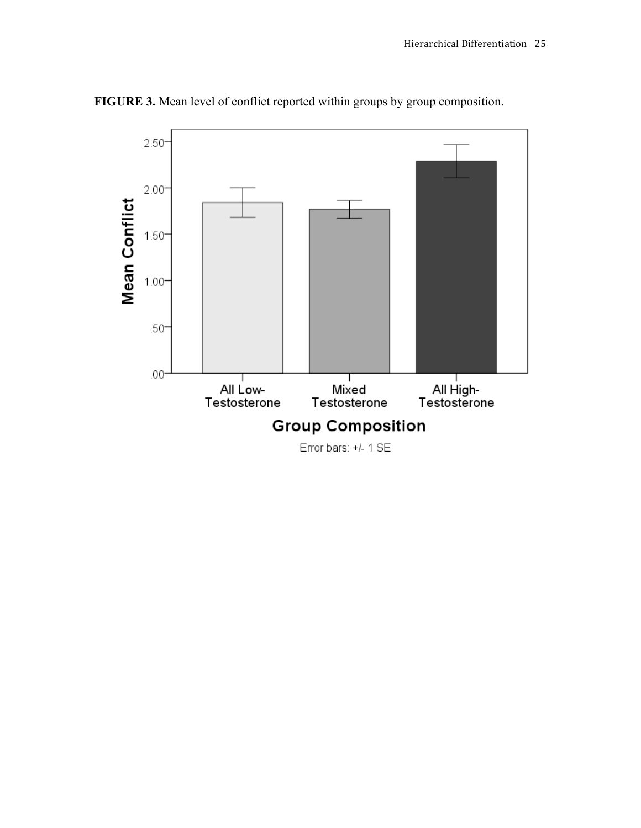

**FIGURE 3.** Mean level of conflict reported within groups by group composition.

Error bars: +/- 1 SE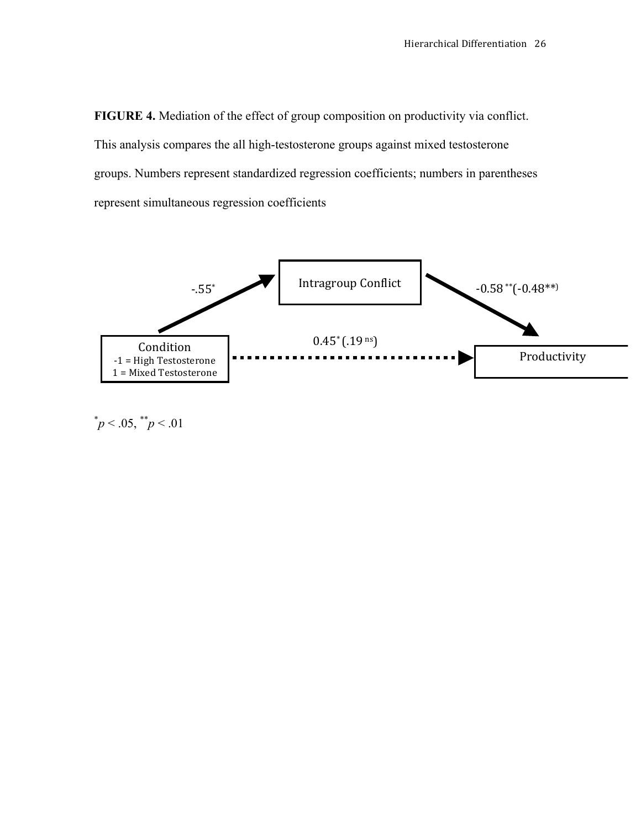**FIGURE 4.** Mediation of the effect of group composition on productivity via conflict. This analysis compares the all high-testosterone groups against mixed testosterone groups. Numbers represent standardized regression coefficients; numbers in parentheses represent simultaneous regression coefficients



 $p^*$   $p < .05$ ,  $p^*$   $p < .01$